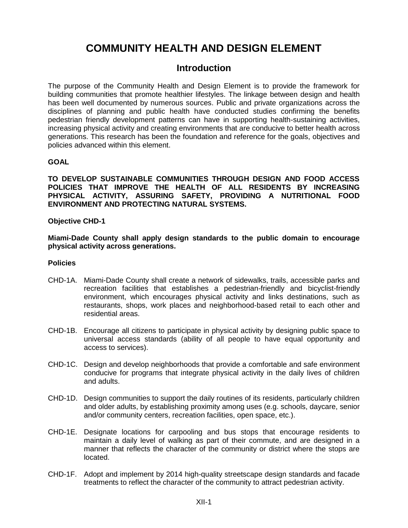# **COMMUNITY HEALTH AND DESIGN ELEMENT**

# **Introduction**

The purpose of the Community Health and Design Element is to provide the framework for building communities that promote healthier lifestyles. The linkage between design and health has been well documented by numerous sources. Public and private organizations across the disciplines of planning and public health have conducted studies confirming the benefits pedestrian friendly development patterns can have in supporting health-sustaining activities, increasing physical activity and creating environments that are conducive to better health across generations. This research has been the foundation and reference for the goals, objectives and policies advanced within this element.

# **GOAL**

**TO DEVELOP SUSTAINABLE COMMUNITIES THROUGH DESIGN AND FOOD ACCESS POLICIES THAT IMPROVE THE HEALTH OF ALL RESIDENTS BY INCREASING PHYSICAL ACTIVITY, ASSURING SAFETY, PROVIDING A NUTRITIONAL FOOD ENVIRONMENT AND PROTECTING NATURAL SYSTEMS.** 

#### **Objective CHD-1**

**Miami-Dade County shall apply design standards to the public domain to encourage physical activity across generations.**

#### **Policies**

- CHD-1A. Miami-Dade County shall create a network of sidewalks, trails, accessible parks and recreation facilities that establishes a pedestrian-friendly and bicyclist-friendly environment, which encourages physical activity and links destinations, such as restaurants, shops, work places and neighborhood-based retail to each other and residential areas.
- CHD-1B. Encourage all citizens to participate in physical activity by designing public space to universal access standards (ability of all people to have equal opportunity and access to services).
- CHD-1C. Design and develop neighborhoods that provide a comfortable and safe environment conducive for programs that integrate physical activity in the daily lives of children and adults.
- CHD-1D. Design communities to support the daily routines of its residents, particularly children and older adults, by establishing proximity among uses (e.g. schools, daycare, senior and/or community centers, recreation facilities, open space, etc.).
- CHD-1E. Designate locations for carpooling and bus stops that encourage residents to maintain a daily level of walking as part of their commute, and are designed in a manner that reflects the character of the community or district where the stops are located.
- CHD-1F. Adopt and implement by 2014 high-quality streetscape design standards and facade treatments to reflect the character of the community to attract pedestrian activity.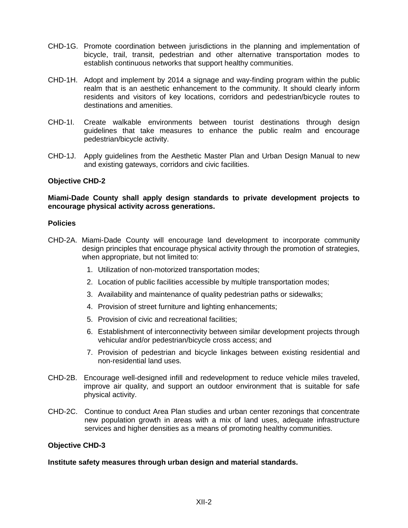- CHD-1G. Promote coordination between jurisdictions in the planning and implementation of bicycle, trail, transit, pedestrian and other alternative transportation modes to establish continuous networks that support healthy communities.
- CHD-1H. Adopt and implement by 2014 a signage and way-finding program within the public realm that is an aesthetic enhancement to the community. It should clearly inform residents and visitors of key locations, corridors and pedestrian/bicycle routes to destinations and amenities.
- CHD-1I. Create walkable environments between tourist destinations through design guidelines that take measures to enhance the public realm and encourage pedestrian/bicycle activity.
- CHD-1J. Apply guidelines from the Aesthetic Master Plan and Urban Design Manual to new and existing gateways, corridors and civic facilities.

#### **Objective CHD-2**

#### **Miami-Dade County shall apply design standards to private development projects to encourage physical activity across generations.**

#### **Policies**

- CHD-2A. Miami-Dade County will encourage land development to incorporate community design principles that encourage physical activity through the promotion of strategies, when appropriate, but not limited to:
	- 1. Utilization of non-motorized transportation modes;
	- 2. Location of public facilities accessible by multiple transportation modes;
	- 3. Availability and maintenance of quality pedestrian paths or sidewalks;
	- 4. Provision of street furniture and lighting enhancements;
	- 5. Provision of civic and recreational facilities;
	- 6. Establishment of interconnectivity between similar development projects through vehicular and/or pedestrian/bicycle cross access; and
	- 7. Provision of pedestrian and bicycle linkages between existing residential and non-residential land uses.
- CHD-2B. Encourage well-designed infill and redevelopment to reduce vehicle miles traveled, improve air quality, and support an outdoor environment that is suitable for safe physical activity.
- CHD-2C. Continue to conduct Area Plan studies and urban center rezonings that concentrate new population growth in areas with a mix of land uses, adequate infrastructure services and higher densities as a means of promoting healthy communities.

#### **Objective CHD-3**

**Institute safety measures through urban design and material standards.**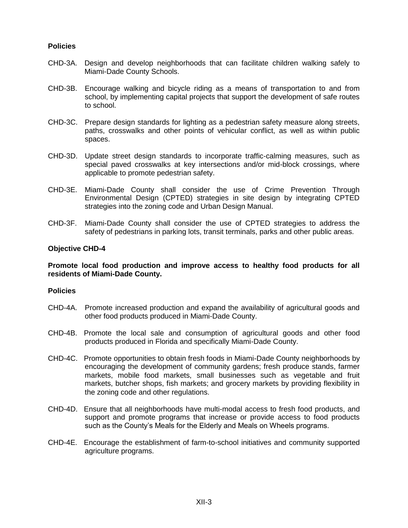#### **Policies**

- CHD-3A. Design and develop neighborhoods that can facilitate children walking safely to Miami-Dade County Schools.
- CHD-3B. Encourage walking and bicycle riding as a means of transportation to and from school, by implementing capital projects that support the development of safe routes to school.
- CHD-3C. Prepare design standards for lighting as a pedestrian safety measure along streets, paths, crosswalks and other points of vehicular conflict, as well as within public spaces.
- CHD-3D. Update street design standards to incorporate traffic-calming measures, such as special paved crosswalks at key intersections and/or mid-block crossings, where applicable to promote pedestrian safety.
- CHD-3E. Miami-Dade County shall consider the use of Crime Prevention Through Environmental Design (CPTED) strategies in site design by integrating CPTED strategies into the zoning code and Urban Design Manual.
- CHD-3F. Miami-Dade County shall consider the use of CPTED strategies to address the safety of pedestrians in parking lots, transit terminals, parks and other public areas.

#### **Objective CHD-4**

**Promote local food production and improve access to healthy food products for all residents of Miami-Dade County.**

#### **Policies**

- CHD-4A. Promote increased production and expand the availability of agricultural goods and other food products produced in Miami-Dade County.
- CHD-4B. Promote the local sale and consumption of agricultural goods and other food products produced in Florida and specifically Miami-Dade County.
- CHD-4C. Promote opportunities to obtain fresh foods in Miami-Dade County neighborhoods by encouraging the development of community gardens; fresh produce stands, farmer markets, mobile food markets, small businesses such as vegetable and fruit markets, butcher shops, fish markets; and grocery markets by providing flexibility in the zoning code and other regulations.
- CHD-4D. Ensure that all neighborhoods have multi-modal access to fresh food products, and support and promote programs that increase or provide access to food products such as the County's Meals for the Elderly and Meals on Wheels programs.
- CHD-4E. Encourage the establishment of farm-to-school initiatives and community supported agriculture programs.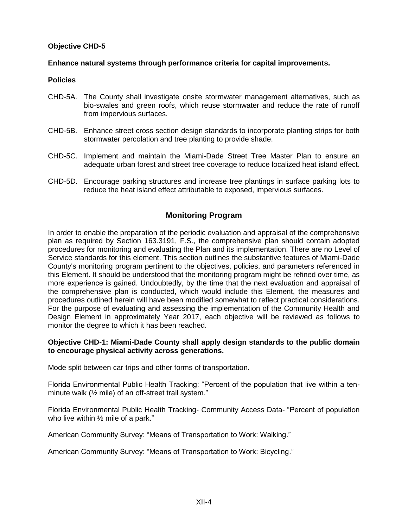# **Objective CHD-5**

# **Enhance natural systems through performance criteria for capital improvements.**

### **Policies**

- CHD-5A. The County shall investigate onsite stormwater management alternatives, such as bio-swales and green roofs, which reuse stormwater and reduce the rate of runoff from impervious surfaces.
- CHD-5B. Enhance street cross section design standards to incorporate planting strips for both stormwater percolation and tree planting to provide shade.
- CHD-5C. Implement and maintain the Miami-Dade Street Tree Master Plan to ensure an adequate urban forest and street tree coverage to reduce localized heat island effect.
- CHD-5D. Encourage parking structures and increase tree plantings in surface parking lots to reduce the heat island effect attributable to exposed, impervious surfaces.

# **Monitoring Program**

In order to enable the preparation of the periodic evaluation and appraisal of the comprehensive plan as required by Section 163.3191, F.S., the comprehensive plan should contain adopted procedures for monitoring and evaluating the Plan and its implementation. There are no Level of Service standards for this element. This section outlines the substantive features of Miami-Dade County's monitoring program pertinent to the objectives, policies, and parameters referenced in this Element. It should be understood that the monitoring program might be refined over time, as more experience is gained. Undoubtedly, by the time that the next evaluation and appraisal of the comprehensive plan is conducted, which would include this Element, the measures and procedures outlined herein will have been modified somewhat to reflect practical considerations. For the purpose of evaluating and assessing the implementation of the Community Health and Design Element in approximately Year 2017, each objective will be reviewed as follows to monitor the degree to which it has been reached.

#### **Objective CHD-1: Miami-Dade County shall apply design standards to the public domain to encourage physical activity across generations.**

Mode split between car trips and other forms of transportation.

Florida Environmental Public Health Tracking: "Percent of the population that live within a tenminute walk (½ mile) of an off-street trail system."

Florida Environmental Public Health Tracking- Community Access Data- "Percent of population who live within ½ mile of a park."

American Community Survey: "Means of Transportation to Work: Walking."

American Community Survey: "Means of Transportation to Work: Bicycling."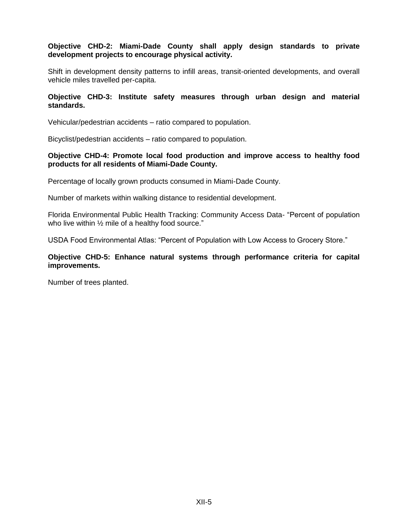# **Objective CHD-2: Miami-Dade County shall apply design standards to private development projects to encourage physical activity.**

Shift in development density patterns to infill areas, transit-oriented developments, and overall vehicle miles travelled per-capita.

#### **Objective CHD-3: Institute safety measures through urban design and material standards.**

Vehicular/pedestrian accidents – ratio compared to population.

Bicyclist/pedestrian accidents – ratio compared to population.

#### **Objective CHD-4: Promote local food production and improve access to healthy food products for all residents of Miami-Dade County.**

Percentage of locally grown products consumed in Miami-Dade County.

Number of markets within walking distance to residential development.

Florida Environmental Public Health Tracking: Community Access Data- "Percent of population who live within 1/2 mile of a healthy food source."

USDA Food Environmental Atlas: "Percent of Population with Low Access to Grocery Store."

#### **Objective CHD-5: Enhance natural systems through performance criteria for capital improvements.**

Number of trees planted.